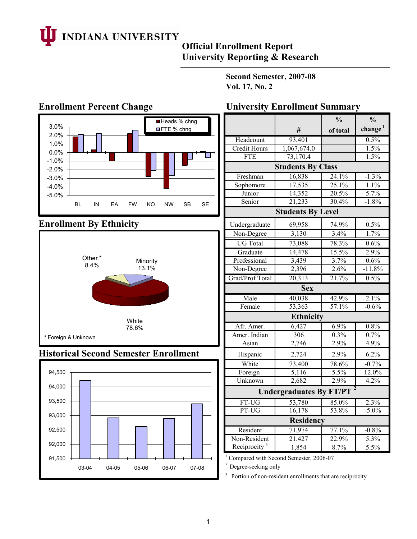

# **Official Enrollment Report University Reporting & Research**

**Second Semester, 2007-08 Vol. 17, No. 2**



# **Enrollment By Ethnicity**



## **Historical Second Semester Enrollment**



|                             |                                | $\frac{0}{0}$ | $\frac{0}{0}$       |  |  |  |  |  |  |  |  |  |
|-----------------------------|--------------------------------|---------------|---------------------|--|--|--|--|--|--|--|--|--|
|                             | #                              | of total      | change <sup>1</sup> |  |  |  |  |  |  |  |  |  |
| Headcount                   | 93,401                         |               | 0.5%                |  |  |  |  |  |  |  |  |  |
| <b>Credit Hours</b>         | 1,067,674.0                    |               | 1.5%                |  |  |  |  |  |  |  |  |  |
| <b>FTE</b>                  | 73,170.4                       |               | 1.5%                |  |  |  |  |  |  |  |  |  |
| <b>Students By Class</b>    |                                |               |                     |  |  |  |  |  |  |  |  |  |
| Freshman                    | 16,838                         | 24.1%         | $-1.3%$             |  |  |  |  |  |  |  |  |  |
| Sophomore                   | 17,535                         | 25.1%         | 1.1%                |  |  |  |  |  |  |  |  |  |
| Junior                      | 14,352                         | 20.5%         | 5.7%                |  |  |  |  |  |  |  |  |  |
| Senior                      | 21,233                         | 30.4%         | $-1.8%$             |  |  |  |  |  |  |  |  |  |
|                             | <b>Students By Level</b>       |               |                     |  |  |  |  |  |  |  |  |  |
| Undergraduate               | 69,958                         | 74.9%         | 0.5%                |  |  |  |  |  |  |  |  |  |
| Non-Degree                  | 3,130                          | 3.4%          | 1.7%                |  |  |  |  |  |  |  |  |  |
| <b>UG</b> Total             | 73,088                         | 78.3%         | 0.6%                |  |  |  |  |  |  |  |  |  |
| Graduate                    | 14,478                         | 15.5%         | 2.9%                |  |  |  |  |  |  |  |  |  |
| Professional                | 3,439                          | 3.7%          | 0.6%                |  |  |  |  |  |  |  |  |  |
| Non-Degree                  | 2,396                          | 2.6%          | $-11.8%$            |  |  |  |  |  |  |  |  |  |
| Grad/Prof Total             | 20,313                         | 21.7%         | 0.5%                |  |  |  |  |  |  |  |  |  |
|                             | <b>Sex</b>                     |               |                     |  |  |  |  |  |  |  |  |  |
| Male                        | 40,038                         | 42.9%         | 2.1%                |  |  |  |  |  |  |  |  |  |
| Female                      | 53,363                         | 57.1%         | $-0.6%$             |  |  |  |  |  |  |  |  |  |
|                             | <b>Ethnicity</b>               |               |                     |  |  |  |  |  |  |  |  |  |
| Afr. Amer.                  | 6,427                          | 6.9%          | 0.8%                |  |  |  |  |  |  |  |  |  |
| Amer. Indian                | 306                            | $0.3\%$       | 0.7%                |  |  |  |  |  |  |  |  |  |
| Asian                       | 2,746                          | 2.9%          | 4.9%                |  |  |  |  |  |  |  |  |  |
| Hispanic                    | 2,724                          | 2.9%          | 6.2%                |  |  |  |  |  |  |  |  |  |
| White                       | 73,400                         | 78.6%         | $-0.7%$             |  |  |  |  |  |  |  |  |  |
| Foreign                     | 5,116                          | $5.5\%$       | 12.0%               |  |  |  |  |  |  |  |  |  |
| $\overline{\text{Unknown}}$ | 2,682                          | 2.9%          | 4.2%                |  |  |  |  |  |  |  |  |  |
|                             | <b>Undergraduates By FT/PT</b> |               |                     |  |  |  |  |  |  |  |  |  |
| FT-UG                       | 53,780                         | 85.0%         | 2.3%                |  |  |  |  |  |  |  |  |  |
| PT-UG                       | 16,178                         | 53.8%         | $-5.0\%$            |  |  |  |  |  |  |  |  |  |
|                             | Residency                      |               |                     |  |  |  |  |  |  |  |  |  |
| Resident                    | 71,974                         | 77.1%         | $-0.8%$             |  |  |  |  |  |  |  |  |  |
| Non-Resident                | 21,427                         | 22.9%         | 5.3%                |  |  |  |  |  |  |  |  |  |
| Reciprocity <sup>3</sup>    | 1,854                          | 8.7%          | 5.5%                |  |  |  |  |  |  |  |  |  |

<sup>1</sup> Compared with Second Semester, 2006-07

<sup>2</sup> Degree-seeking only

<sup>3</sup> Portion of non-resident enrollments that are reciprocity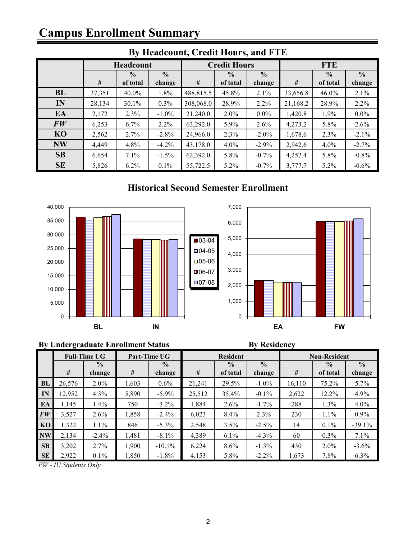# **Campus Enrollment Summary**

| $E1$ measured and $\epsilon$ is the model of and $\epsilon$ and $\epsilon$ |        |               |               |           |                     |               |            |               |               |  |  |  |  |
|----------------------------------------------------------------------------|--------|---------------|---------------|-----------|---------------------|---------------|------------|---------------|---------------|--|--|--|--|
|                                                                            |        | Headcount     |               |           | <b>Credit Hours</b> |               | <b>FTE</b> |               |               |  |  |  |  |
|                                                                            |        | $\frac{0}{0}$ | $\frac{0}{0}$ |           | $\frac{0}{0}$       | $\frac{0}{0}$ |            | $\frac{0}{0}$ | $\frac{0}{0}$ |  |  |  |  |
|                                                                            | #      | of total      | change        | #         | of total            | change        | #          | of total      | change        |  |  |  |  |
| <b>BL</b>                                                                  | 37,351 | 40.0%         | 1.8%          | 488,815.5 | 45.8%               | 2.1%          | 33,656.8   | 46.0%         | 2.1%          |  |  |  |  |
| IN                                                                         | 28,134 | 30.1%         | 0.3%          | 308,068.0 | 28.9%               | 2.2%          | 21,168.2   | 28.9%         | $2.2\%$       |  |  |  |  |
| EA                                                                         | 2,172  | 2.3%          | $-1.0\%$      | 21,240.0  | $2.0\%$             | $0.0\%$       | 1,420.8    | 1.9%          | $0.0\%$       |  |  |  |  |
| FW                                                                         | 6,253  | 6.7%          | 2.2%          | 63,292.0  | 5.9%                | 2.6%          | 4,273.2    | 5.8%          | 2.6%          |  |  |  |  |
| <b>KO</b>                                                                  | 2,562  | 2.7%          | $-2.8%$       | 24,966.0  | 2.3%                | $-2.0\%$      | 1,678.6    | 2.3%          | $-2.1\%$      |  |  |  |  |
| <b>NW</b>                                                                  | 4,449  | 4.8%          | $-4.2\%$      | 43,178.0  | 4.0%                | $-2.9%$       | 2,942.6    | 4.0%          | $-2.7%$       |  |  |  |  |
| <b>SB</b>                                                                  | 6,654  | $7.1\%$       | $-1.5%$       | 62,392.0  | 5.8%                | $-0.7\%$      | 4,252.4    | 5.8%          | $-0.8\%$      |  |  |  |  |
| <b>SE</b>                                                                  | 5,826  | $6.2\%$       | $0.1\%$       | 55,722.5  | 5.2%                | $-0.7\%$      | 3,777.7    | 5.2%          | $-0.6\%$      |  |  |  |  |

# **By Headcount, Credit Hours, and FTE**

## **Historical Second Semester Enrollment**



#### **By Undergraduate Enrollment Status By Residency**



|           | <b>Full-Time UG</b> |               |       | Part-Time UG  |        | <b>Resident</b> |               | <b>Non-Resident</b> |               |               |  |
|-----------|---------------------|---------------|-------|---------------|--------|-----------------|---------------|---------------------|---------------|---------------|--|
|           |                     | $\frac{0}{0}$ |       | $\frac{0}{0}$ |        | $\frac{0}{0}$   | $\frac{0}{0}$ |                     | $\frac{0}{0}$ | $\frac{0}{0}$ |  |
|           | #                   | change        | #     | change        | $\#$   | of total        | change        | #                   | of total      | change        |  |
| <b>BL</b> | 26,576              | $2.0\%$       | 1,603 | $0.6\%$       | 21,241 | 29.5%           | $-1.0\%$      | 16,110              | 75.2%         | 5.7%          |  |
| IN        | 12,952              | $4.3\%$       | 5,890 | $-5.9\%$      | 25,512 | 35.4%           | $-0.1\%$      | 2,622               | 12.2%         | 4.9%          |  |
| EA        | 1,145               | $1.4\%$       | 750   | $-3.2\%$      | 1,884  | $2.6\%$         | $-1.7\%$      | 288                 | 1.3%          | 4.0%          |  |
| FW        | 3,527               | $2.6\%$       | 1,858 | $-2.4\%$      | 6,023  | 8.4%            | 2.3%          | 230                 | 1.1%          | $0.9\%$       |  |
| KO        | 1,322               | $1.1\%$       | 846   | $-5.3\%$      | 2,548  | 3.5%            | $-2.5\%$      | 14                  | $0.1\%$       | $-39.1%$      |  |
| <b>NW</b> | 2,134               | $-2.4\%$      | 1,481 | $-8.1\%$      | 4,389  | $6.1\%$         | $-4.3\%$      | 60                  | $0.3\%$       | 7.1%          |  |
| <b>SB</b> | 3,202               | 2.7%          | 1,900 | $-10.1%$      | 6,224  | $8.6\%$         | $-1.3\%$      | 430                 | $2.0\%$       | $-3.6%$       |  |
| <b>SE</b> | 2,922               | $0.1\%$       | 1,850 | $-1.8%$       | 4,153  | 5.8%            | $-2.2\%$      | 1,673               | 7.8%          | 6.3%          |  |

*FW - IU Students Only*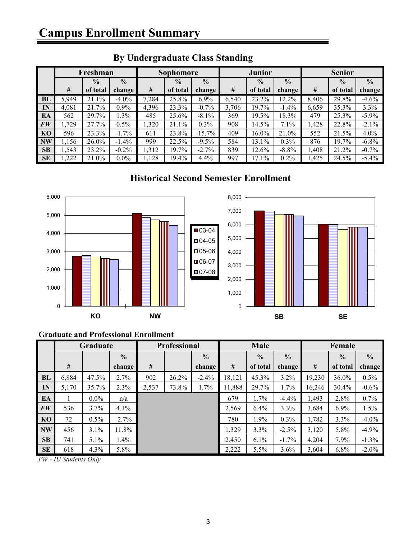|           | Freshman |               |               |       | Sophomore     |               |                                | <b>Junior</b> |               | <b>Senior</b> |               |          |
|-----------|----------|---------------|---------------|-------|---------------|---------------|--------------------------------|---------------|---------------|---------------|---------------|----------|
|           |          | $\frac{0}{0}$ | $\frac{0}{0}$ |       | $\frac{0}{0}$ | $\frac{0}{0}$ | $\frac{0}{0}$<br>$\frac{0}{0}$ |               | $\frac{0}{0}$ |               | $\frac{6}{6}$ |          |
|           | #        | of total      | change        | #     | of total      | change        | #                              | of total      | change        | #             | of total      | change   |
| BL        | 5,949    | 21.1%         | $-4.0\%$      | 7,284 | 25.8%         | 6.9%          | 6,540                          | 23.2%         | 12.2%         | 8,406         | 29.8%         | $-4.6%$  |
| IN        | 4,081    | 21.7%         | 0.9%          | 4,396 | 23.3%         | $-0.7%$       | 3,706                          | 19.7%         | $-1.4\%$      | 6,659         | 35.3%         | 3.3%     |
| EA        | 562      | 29.7%         | 1.3%          | 485   | 25.6%         | $-8.1\%$      | 369                            | 19.5%         | 18.3%         | 479           | 25.3%         | $-5.9\%$ |
| FW        | .729     | 27.7%         | 0.5%          | 1,320 | 21.1%         | 0.3%          | 908                            | 14.5%         | 7.1%          | <b>428.</b>   | 22.8%         | $-2.1\%$ |
| <b>KO</b> | 596      | 23.3%         | $-1.7\%$      | 611   | 23.8%         | $-15.7\%$     | 409                            | 16.0%         | 21.0%         | 552           | 21.5%         | 4.0%     |
| <b>NW</b> | 1,156    | 26.0%         | $-1.4\%$      | 999   | 22.5%         | $-9.5%$       | 584                            | 13.1%         | 0.3%          | 876           | 19.7%         | $-6.8\%$ |
| SB        | .543     | 23.2%         | $-0.2\%$      | 1,312 | 19.7%         | $-2.7%$       | 839                            | 12.6%         | $-8.8%$       | 1,408         | 21.2%         | $-0.7%$  |
| <b>SE</b> | ,222     | 21.0%         | $0.0\%$       | ,128  | 19.4%         | 4.4%          | 997                            | 17.1%         | $0.2\%$       | ,425          | 24.5%         | $-5.4\%$ |

# **By Undergraduate Class Standing**

# **Historical Second Semester Enrollment**



### **Graduate and Professional Enrollment**

|           | Graduate |         |               | <b>Professional</b> |       |               | Male   |               |               | Female |               |               |
|-----------|----------|---------|---------------|---------------------|-------|---------------|--------|---------------|---------------|--------|---------------|---------------|
|           |          |         | $\frac{0}{0}$ |                     |       | $\frac{0}{0}$ |        | $\frac{0}{0}$ | $\frac{0}{0}$ |        | $\frac{0}{0}$ | $\frac{6}{9}$ |
|           | #        |         | change        | #                   |       | change        | #      | of total      | change        | #      | of total      | change        |
| <b>BL</b> | 6,884    | 47.5%   | $2.7\%$       | 902                 | 26.2% | $-2.4%$       | 18,121 | 45.3%         | $3.2\%$       | 19,230 | $36.0\%$      | $0.5\%$       |
| IN        | 5,170    | 35.7%   | 2.3%          | 2,537               | 73.8% | 1.7%          | 11,888 | 29.7%         | 1.7%          | 16,246 | 30.4%         | $-0.6\%$      |
| EA        |          | $0.0\%$ | n/a           |                     |       |               | 679    | $1.7\%$       | $-4.4\%$      | 1,493  | 2.8%          | 0.7%          |
| FW        | 536      | $3.7\%$ | 4.1%          |                     |       |               | 2,569  | 6.4%          | 3.3%          | 3,684  | $6.9\%$       | 1.5%          |
| KO        | 72       | $0.5\%$ | $-2.7\%$      |                     |       |               | 780    | 1.9%          | 0.3%          | 1,782  | 3.3%          | $-4.0\%$      |
| <b>NW</b> | 456      | $3.1\%$ | 11.8%         |                     |       |               | 1,329  | 3.3%          | $-2.5%$       | 3,120  | 5.8%          | $-4.9%$       |
| SB        | 741      | $5.1\%$ | 1.4%          |                     |       |               | 2,450  | 6.1%          | $-1.7\%$      | 4,204  | 7.9%          | $-1.3\%$      |
| <b>SE</b> | 618      | $4.3\%$ | 5.8%          |                     |       |               | 2,222  | 5.5%          | $3.6\%$       | 3,604  | 6.8%          | $-2.0\%$      |

*FW - IU Students Only*